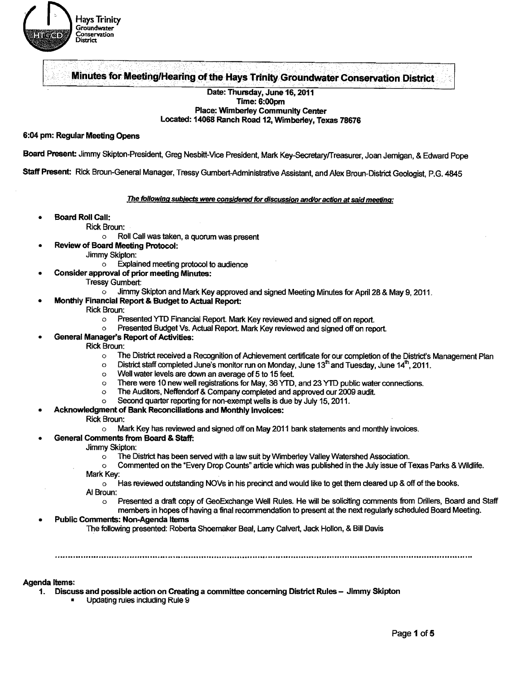

ng of the Hays Trinity Groundwater Conservation District<br>Date: Thursday, June 16, 2011 Minutes for Meeting/Hearing of the Hays Trinity Groundwater Conservation District

# Date: Thursday, June 16, 2011 Time: 6:00pm Place: Wimberley Community Center Located: 14068 Ranch Road 12, Wimberley, Texas 78676

## 6:04 pm: Regular Meeting Opens

Board Present Jimmy Skipton-President, Greg Nesbitt-Vice President, Mark Key-SecretarylTreasurer, Joan Jemigan, & Edward Pope

Staff Present: Rick Broun-General Manager, Tressy Gumbert-Administrative Assistant, and Alex Broun-District Geologist, P.G.4845

#### The following subjects were considered for discussion and/or action at said meeting:

- Board Roll Call:
	- Rick Broun:
		- o Roll Call was taken. a quorum was present
	- Review of Board Meeting Protocol:
		- Jimmy Skipton:
			- $\circ$  **Explained meeting protocol to audience**
- Consider approval of prior meeting Minutes:
	- Tressy Gumbert:
		- o Jimmy Skipton and Mark Key approved and signed Meeting Minutes for April 28 & May 9, 2011.
- Monthly Financial Report & Budget to Actual Report:

#### Rick Broun:

- o Presented YTD Financial Report. Mark Key reviewed and signed off on report.
- o Presented Budget Vs. Actual Report. Mark Key reviewed and signed off on report.
- General Manager's Report of Activities:
	- Rick Broun:
		- o The District received a Recognition of Achievement certificate for our completion of the District's Management Plan
		- $\circ$  District staff completed June's monitor run on Monday, June 13<sup>th</sup> and Tuesday, June 14<sup>th</sup>, 2011.<br>Well water levels are down an average of 5 to 15 feet
		- Well water levels are down an average of 5 to 15 feet.
		- $\circ$  There were 10 new well registrations for May, 36 YTD, and 23 YTD public water connections.<br>
		The Auditors, Neffendorf & Company completed and approved our 2009 audit
		- The Auditors, Neffendorf & Company completed and approved our 2009 audit.
		- o Second quarter reporting for non-exempt wells is due by July 15. 2011.
- Acknowledgment of Bank Reconciliations and Monthly Invoices:

#### Rick Broun:

- Mark Key has reviewed and signed off on May 2011 bank statements and monthly invoices.
- General Comments from Board & Staff:
	- Jimmy Skipton:
		- $\circ$  The District has been served with a law suit by Wimberley Valley Watershed Association.
	- o Commented on the "Every Drop Counts" article which was published in the July issue ofTexas Parks & Wildlife. Mark Key:
		- $\circ$  Has reviewed outstanding NOVs in his precinct and would like to get them cleared up & off of the books.
	- AI Broun:
		- o Presented a draft copy of GeoExchange Well Rules. He will be soliciting comments from Drillers, Board and Staff members in hopes of having a final recommendation to present at the next regularly scheduled Board Meeting.

#### Public Comments: Non-Agenda Items

The following presented: Roberta Shoemaker Beal, Larry Calvert, Jack Hollon. & Bill Davis

Agenda Items:

- 1. Discuss and possible action on Creating a committee concerning District Rules Jimmy Skipton
	- Updating rules including Rule 9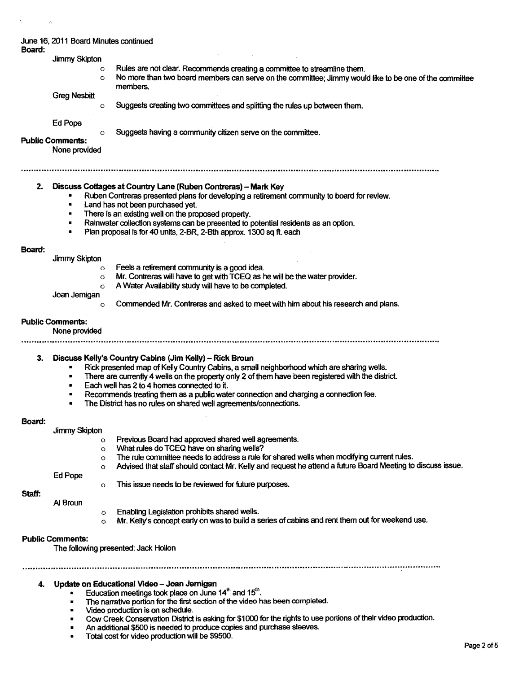| June 16, 2011 Board Minutes continued |  |  |
|---------------------------------------|--|--|
| Board:                                |  |  |

- Board: Jimmy Skipton o Rules are not clear. Recommends creating a committee to streamline them.  $\circ$  No more than two board members can serve on the committee; Jimmy would like to be one of the committee members. Greg Nesbitt o Suggests creating two committees and splitting the rules up between them. Ed Pope o Suggests having a community citizen serve on the committee. Public Comments: None provided 2. Discuss Cottages at Country Lane (Ruben Contreras) - Mark Key • Ruben Contreras presented plans for developing a retirement community to board for review. Land has not been purchased vet. There is an existing well on the proposed property. • Rainwater collection systems can be presented to potential residents as an option. • Plan proposal is for 40 units. 2-BR, 2-Bth approx. 1300 sq ft. each Board: Jimmy Skipton o Feels a retirement community is a good idea. o Mr. Contreras will have to get with TCEQ as he will be the water provider. o A Water Availability study will have to be completed. Joan Jernigan o Commended Mr. Contreras and asked to meet with him about his research and plans. Public Comments: None provided 3. Discuss Kelly's Country Cabins (Jim Kelly) - Rick Broun Rick presented map of Kelly Country Cabins, a small neighborhood which are sharing wells. There are currently 4 wells on the property only 2 of them have been registered with the district. • Each well has 2 to 4 homes connected to it. • Recommends treating them as a public water connection and charging a connection fee. • The District has no rules on shared well agreements/connections. Board: Jimmy Skipton 0 Previous Board had approved shared well agreements. 0 What rules do TCEQ have on sharing wells?  $\circ$  The rule committee needs to address a rule for shared wells when modifying current rules. <sup>0</sup>Advised that staff should contact Mr. Kelly and request he attend a future Board Meeting to discuss issue. Ed Pope <sup>0</sup>This issue needs to be reviewed for future purposes. Staff: AI Broun <sup>0</sup>Enabling Legislation prohibits shared Wells.  $\circ$  Mr. Kelly's concept early on was to build a series of cabins and rent them out for weekend use. Public Comments: The following presented: Jack Hollon ...............................................................It ••• ,.~.tI .............." ..............• .. •• ••••••• .. ••••••.......................................... <sup>~</sup>................. 4. Update on Educational Video - Joan Jernigan Education meetings took place on June  $14<sup>th</sup>$  and  $15<sup>th</sup>$ . The narrative portion for the first section of the video has been completed. • Video production is on schedule. • Cow Creek Conservation District is asking for \$1000 for the rights to use portions of their video production.
	- An additional \$500 is needed to produce copies and purchase sleeves.
	- Total cost for video production will be \$9500.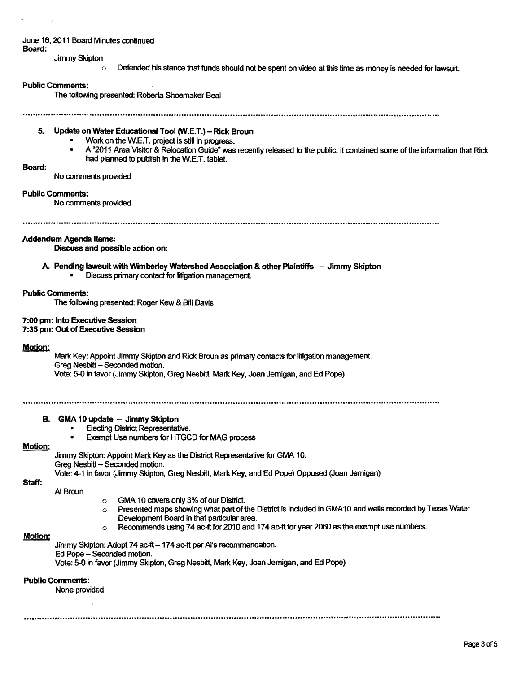# June 16,2011 Board Minutes continued

Board:

Jimmy Skipton

 $\circ$  Defended his stance that funds should not be spent on video at this time as money is needed for lawsuit.

#### Public Comments:

The following presented: Roberta Shoemaker Beal

.................... 111 ......................................" ..............'''' .......... <sup>~</sup>..............................................................................................

# 5. Update on Water Educational Tool (W.E.T.) - Rick Broun

- Work on the W.E.T. project is still in progress.<br>• A "2011 Appe Victor & Pelecation Guide" was
- A "2011 Area Visitor & Relocation Guide" was recently released to the public. It contained some of the information that Rick had planned to publish in the W.E.T. tablet.

#### Board:

No comments provided

#### Public Comments:

No comments provided

# Addendum Agenda Items:

Discuss and possible action on:

- A Pending lawsuit with Wimber1ey Watershed Association & other Plaintiffs Jimmy Skipton
	- Discuss primary contact for litigation management.

# Public Comments:

The following presented: Roger Kew & Bill Davis

#### 7:00 pm: Into Executive Session

7:35 pm: Out of Executive Session

#### Motion:

Mark Key: Appoint Jimmy Skipton and Rick Broun as primary contacts for litigation management. Greg Nesbitt - Seconded motion. Vote: 5-0 in favor (Jimmy Skipton, Greg Nesbitt, Mark. Key, Joan Jemigan, and Ed Pope)

# B. GMA 10 update -- Jimmy Skipton

- **Electing District Representative.**
- Exempt Use numbers for HTGCD for MAG process

# Motion:

Jimmy Skipton: Appoint Mark. Key as the District Representative for GMA 10.

Greg Nesbitt - Seconded motion.

Vote: 4-1 in favor (Jimmy Skipton, Greg Nesbitt, Mark Key, and Ed Pope) Opposed (Joan Jemigan)

Staff:

- AI Broun
	- o GMA 10 covers only 3% of our District.
	- $\circ$  Presented maps showing what part of the District is included in GMA10 and wells recorded by Texas Water Development Board in that particular area.
	- $\circ$  Recommends using 74 ac-ft for 2010 and 174 ac-ft for year 2060 as the exempt use numbers.

# Motion:

Jimmy Skipton: Adopt 74 ac-ft - 174 ac-ft per Al's recommendation.

Ed Pope - Seconded motion.

Vote: 5-0 in favor (Jimmy Skipton, Greg Nesbitt, Mark. Key, Joan Jemigan. and Ed Pope)

# Public Comments:

None provided

............ ,,,.......................... ,,,...................."' ........................................................................................ "...................................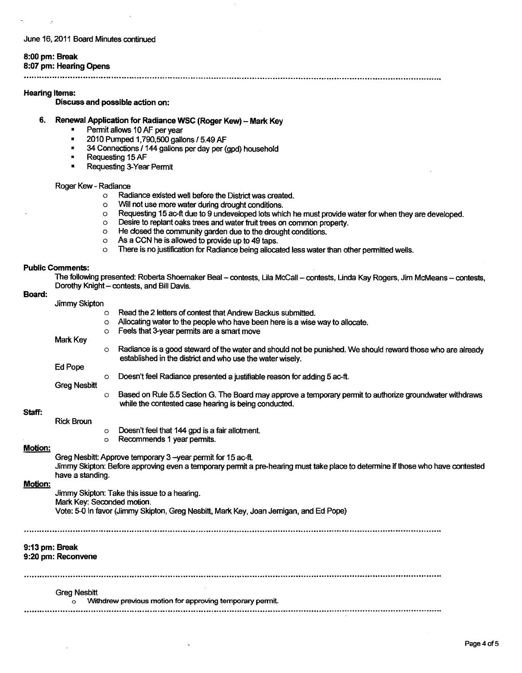#### June 16, 2011 Board Minutes continued

# 8:00 pm: Break

8:07 pm: Hearing Opens

.. ".,.""" ........... "" ............ " .. " .. 11 .... " •• "' •• " ...... " •• III .......................... " •• ,. ... " ......... "" ......... " ........................ """,, ............" •• "",, ............ " .. ,," ............... " .. """ .... ,, "1"""" ....

#### Hearing Items:

Discuss and possible action on:

- 6. Renewal Application for Radiance WSC (Roger Kew) Mark Key
	- Permit allows 10 AF per year<br>•  $2010$  Purped 1.790.500 gallo
	- 2010 Pumped 1,790,500 gallons *15.49* AF
	- **4** 34 Connections / 144 gallons per day per (gpd) household
	- Requesting 15 AF
	- Requesting 3-Year Permit

# Roger Kew - Radiance<br>C Rad

- $\circ$  Radiance existed well before the District was created.<br> $\circ$  Will not use more water during drought conditions.
- o Will not use more water during drought conditions.<br> **C** Requesting 15 ac-ft due to 9 undeveloped lots white
- a Requesting 15 ae-ft due to 9 undeveloped lots which he must provide water for when they are developed.
- $\circ$  Desire to replant oaks trees and water fruit trees on common property.<br>  $\circ$  He closed the community garden due to the drought conditions.
- $\circ$  He dosed the community garden due to the drought conditions.<br>  $\circ$  As a CCN he is allowed to provide up to 49 taps.
- $\circ$  As a CCN he is allowed to provide up to 49 taps.<br>  $\circ$  There is no justification for Radiance being allocal
- There is no justification for Radiance being allocated less water than other permitted wells.

#### Public Comments:

Board:

The following presented: Roberta Shoemaker Beal - contests, Lila McCall - contests, Linda Kay Rogers, Jim McMeans - contests, Dorothy Knight - contests, and Bill Davis.

|                                                          | Jimmy Skipton                                                                          |          |                                                                                                                                |  |  |  |  |
|----------------------------------------------------------|----------------------------------------------------------------------------------------|----------|--------------------------------------------------------------------------------------------------------------------------------|--|--|--|--|
|                                                          |                                                                                        | $\Omega$ | Read the 2 letters of contest that Andrew Backus submitted.                                                                    |  |  |  |  |
|                                                          |                                                                                        | $\circ$  | Allocating water to the people who have been here is a wise way to allocate.                                                   |  |  |  |  |
|                                                          |                                                                                        | $\circ$  | Feels that 3-year permits are a smart move                                                                                     |  |  |  |  |
|                                                          | Mark Key                                                                               |          |                                                                                                                                |  |  |  |  |
|                                                          |                                                                                        | $\circ$  | Radiance is a good steward of the water and should not be punished. We should reward those who are already                     |  |  |  |  |
|                                                          | Ed Pope                                                                                |          | established in the district and who use the water wisely.                                                                      |  |  |  |  |
|                                                          |                                                                                        |          | Doesn't feel Radiance presented a justifiable reason for adding 5 ac-ft.                                                       |  |  |  |  |
|                                                          | <b>Greg Nesbitt</b>                                                                    | $\circ$  |                                                                                                                                |  |  |  |  |
|                                                          |                                                                                        | $\circ$  | Based on Rule 5.5 Section G. The Board may approve a temporary permit to authorize groundwater withdraws                       |  |  |  |  |
|                                                          |                                                                                        |          | while the contested case hearing is being conducted.                                                                           |  |  |  |  |
| Staff:                                                   |                                                                                        |          |                                                                                                                                |  |  |  |  |
|                                                          | <b>Rick Broun</b>                                                                      |          |                                                                                                                                |  |  |  |  |
|                                                          |                                                                                        | $\circ$  | Doesn't feel that 144 gpd is a fair allotment.                                                                                 |  |  |  |  |
|                                                          |                                                                                        | $\circ$  | Recommends 1 year permits.                                                                                                     |  |  |  |  |
| <b>Motion:</b>                                           |                                                                                        |          |                                                                                                                                |  |  |  |  |
|                                                          |                                                                                        |          | Greg Nesbitt: Approve temporary 3-year permit for 15 ac-ft.                                                                    |  |  |  |  |
|                                                          | have a standing.                                                                       |          | Jimmy Skipton: Before approving even a temporary permit a pre-hearing must take place to determine if those who have contested |  |  |  |  |
| Motion:                                                  |                                                                                        |          |                                                                                                                                |  |  |  |  |
|                                                          | Jimmy Skipton: Take this issue to a hearing.                                           |          |                                                                                                                                |  |  |  |  |
|                                                          | Mark Key: Seconded motion.                                                             |          |                                                                                                                                |  |  |  |  |
|                                                          | Vote: 5-0 In favor (Jimmy Skipton, Greg Nesbitt, Mark Key, Joan Jernigan, and Ed Pope) |          |                                                                                                                                |  |  |  |  |
|                                                          |                                                                                        |          |                                                                                                                                |  |  |  |  |
|                                                          |                                                                                        |          |                                                                                                                                |  |  |  |  |
|                                                          |                                                                                        |          |                                                                                                                                |  |  |  |  |
| 9:13 pm: Break                                           |                                                                                        |          |                                                                                                                                |  |  |  |  |
|                                                          | 9:20 pm: Reconvene                                                                     |          |                                                                                                                                |  |  |  |  |
|                                                          |                                                                                        |          |                                                                                                                                |  |  |  |  |
|                                                          |                                                                                        |          |                                                                                                                                |  |  |  |  |
| <b>Greg Nesbitt</b>                                      |                                                                                        |          |                                                                                                                                |  |  |  |  |
| Withdrew previous motion for approving temporary permit. |                                                                                        |          |                                                                                                                                |  |  |  |  |
|                                                          |                                                                                        |          |                                                                                                                                |  |  |  |  |
|                                                          |                                                                                        |          |                                                                                                                                |  |  |  |  |